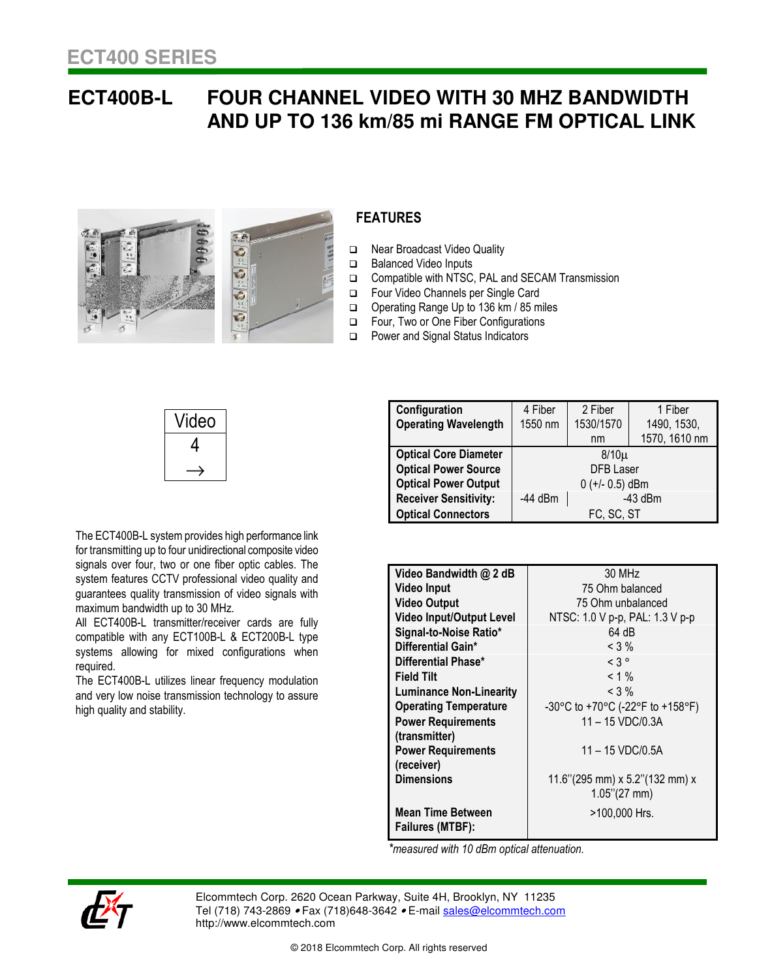## **ECT400B-L FOUR CHANNEL VIDEO WITH 30 MHZ BANDWIDTH AND UP TO 136 km/85 mi RANGE FM OPTICAL LINK**



## **FEATURES**

- Near Broadcast Video Quality
- □ Balanced Video Inputs
- Compatible with NTSC, PAL and SECAM Transmission
- Four Video Channels per Single Card
- Operating Range Up to 136 km / 85 miles
- Four, Two or One Fiber Configurations
- □ Power and Signal Status Indicators

| Video |
|-------|
| 4     |
|       |

The ECT400B-L system provides high performance link for transmitting up to four unidirectional composite video signals over four, two or one fiber optic cables. The system features CCTV professional video quality and guarantees quality transmission of video signals with

systems allowing for mixed configurations when

The ECT400B-L utilizes linear frequency modulation and very low noise transmission technology to assure

All ECT400B-L transmitter/receiver cards are fully compatible with any ECT100B-L & ECT200B-L type

maximum bandwidth up to 30 MHz.

**Configuration Operating Wavelength**  4 Fiber 1550 nm 2 Fiber 1530/1570 nm 1 Fiber 1490, 1530, 1570, 1610 nm **Optical Core Diameter Contract Core System** B/10µ<br> **Optical Power Source COPY DFB** Laser **Optical Power Source Optical Power Output**  $0 (+/- 0.5)$  dBm **Receiver Sensitivity:** | -44 dBm | -43 dBm **Optical Connectors and FC, SC, ST** 

| Video Bandwidth @ 2 dB                       | 30 MHz                               |
|----------------------------------------------|--------------------------------------|
| <b>Video Input</b>                           | 75 Ohm balanced                      |
| <b>Video Output</b>                          | 75 Ohm unbalanced                    |
| <b>Video Input/Output Level</b>              | NTSC: 1.0 V p-p, PAL: 1.3 V p-p      |
| Signal-to-Noise Ratio*                       | 64 dB                                |
| Differential Gain*                           | $<$ 3 %                              |
| Differential Phase*                          | $<$ 3 $^{\circ}$                     |
| <b>Field Tilt</b>                            | $< 1 \%$                             |
| <b>Luminance Non-Linearity</b>               | $< 3\%$                              |
| <b>Operating Temperature</b>                 | -30°C to +70°C (-22°F to +158°F)     |
| <b>Power Requirements</b>                    | $11 - 15 \text{ VDC} / 0.3 \text{A}$ |
| (transmitter)                                |                                      |
| <b>Power Requirements</b>                    | 11 - 15 VDC/0.5A                     |
| (receiver)                                   |                                      |
| <b>Dimensions</b>                            | 11.6"(295 mm) x 5.2"(132 mm) x       |
|                                              | $1.05$ "(27 mm)                      |
| <b>Mean Time Between</b><br>Failures (MTBF): | >100,000 Hrs.                        |

 *\*measured with 10 dBm optical attenuation.* 



required.

high quality and stability.

Elcommtech Corp. 2620 Ocean Parkway, Suite 4H, Brooklyn, NY 11235 Tel (718) 743-2869 • Fax (718) 648-3642 • E-mail sales@elcommtech.com http://www.elcommtech.com